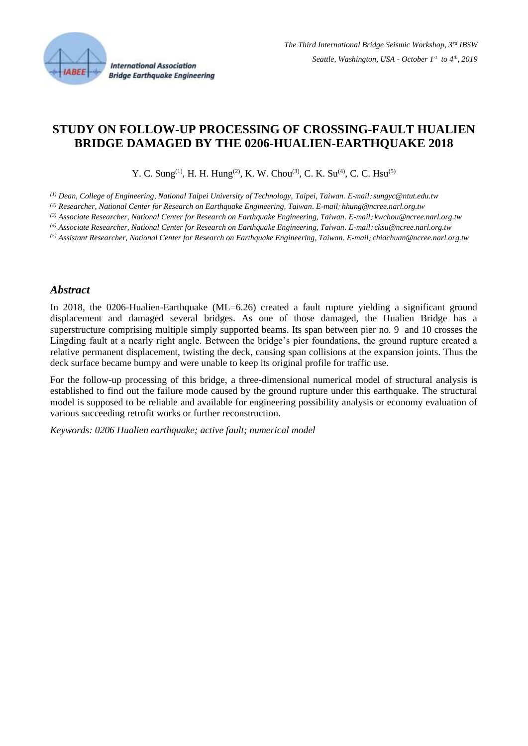

# **STUDY ON FOLLOW-UP PROCESSING OF CROSSING-FAULT HUALIEN BRIDGE DAMAGED BY THE 0206-HUALIEN-EARTHQUAKE 2018**

Y. C. Sung<sup>(1)</sup>, H. H. Hung<sup>(2)</sup>, K. W. Chou<sup>(3)</sup>, C. K. Su<sup>(4)</sup>, C. C. Hsu<sup>(5)</sup>

*(1) Dean, College of Engineering, National Taipei University of Technology, Taipei, Taiwan. E-mail*: *sungyc@ntut.edu.tw*

*(2) Researcher, National Center for Research on Earthquake Engineering, Taiwan. E-mail*: *hhung@ncree.narl.org.tw*

*(3) Associate Researcher, National Center for Research on Earthquake Engineering, Taiwan. E-mail*: *kwchou@ncree.narl.org.tw*

*(4) Associate Researcher, National Center for Research on Earthquake Engineering, Taiwan. E-mail*: *cksu@ncree.narl.org.tw*

*(5) Assistant Researcher, National Center for Research on Earthquake Engineering, Taiwan. E-mail*: *chiachuan@ncree.narl.org.tw*

#### *Abstract*

In 2018, the 0206-Hualien-Earthquake (ML=6.26) created a fault rupture yielding a significant ground displacement and damaged several bridges. As one of those damaged, the Hualien Bridge has a superstructure comprising multiple simply supported beams. Its span between pier no. 9 and 10 crosses the Lingding fault at a nearly right angle. Between the bridge's pier foundations, the ground rupture created a relative permanent displacement, twisting the deck, causing span collisions at the expansion joints. Thus the deck surface became bumpy and were unable to keep its original profile for traffic use.

For the follow-up processing of this bridge, a three-dimensional numerical model of structural analysis is established to find out the failure mode caused by the ground rupture under this earthquake. The structural model is supposed to be reliable and available for engineering possibility analysis or economy evaluation of various succeeding retrofit works or further reconstruction.

*Keywords: 0206 Hualien earthquake; active fault; numerical model*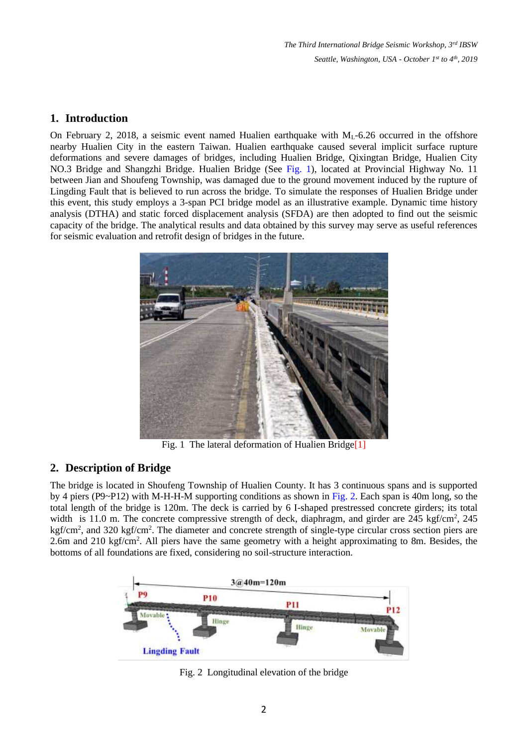*The Third International Bridge Seismic Workshop, 3rd IBSW Seattle, Washington, USA - October 1 st to 4th , 2019*

### **1. Introduction**

On February 2, 2018, a seismic event named Hualien earthquake with  $M<sub>L</sub>$ -6.26 occurred in the offshore nearby Hualien City in the eastern Taiwan. Hualien earthquake caused several implicit surface rupture deformations and severe damages of bridges, including Hualien Bridge, Qixingtan Bridge, Hualien City NO.3 Bridge and Shangzhi Bridge. Hualien Bridge (See Fig. 1), located at Provincial Highway No. 11 between Jian and Shoufeng Township, was damaged due to the ground movement induced by the rupture of Lingding Fault that is believed to run across the bridge. To simulate the responses of Hualien Bridge under this event, this study employs a 3-span PCI bridge model as an illustrative example. Dynamic time history analysis (DTHA) and static forced displacement analysis (SFDA) are then adopted to find out the seismic capacity of the bridge. The analytical results and data obtained by this survey may serve as useful references for seismic evaluation and retrofit design of bridges in the future.



Fig. 1 The lateral deformation of Hualien Bridge<sup>[1]</sup>

# **2. Description of Bridge**

The bridge is located in Shoufeng Township of Hualien County. It has 3 continuous spans and is supported by 4 piers (P9~P12) with M-H-H-M supporting conditions as shown in Fig. 2. Each span is 40m long, so the total length of the bridge is 120m. The deck is carried by 6 I-shaped prestressed concrete girders; its total width is 11.0 m. The concrete compressive strength of deck, diaphragm, and girder are 245 kgf/cm<sup>2</sup>, 245 kgf/cm<sup>2</sup>, and 320 kgf/cm<sup>2</sup>. The diameter and concrete strength of single-type circular cross section piers are 2.6m and 210 kgf/cm<sup>2</sup>. All piers have the same geometry with a height approximating to 8m. Besides, the bottoms of all foundations are fixed, considering no soil-structure interaction.



Fig. 2 Longitudinal elevation of the bridge